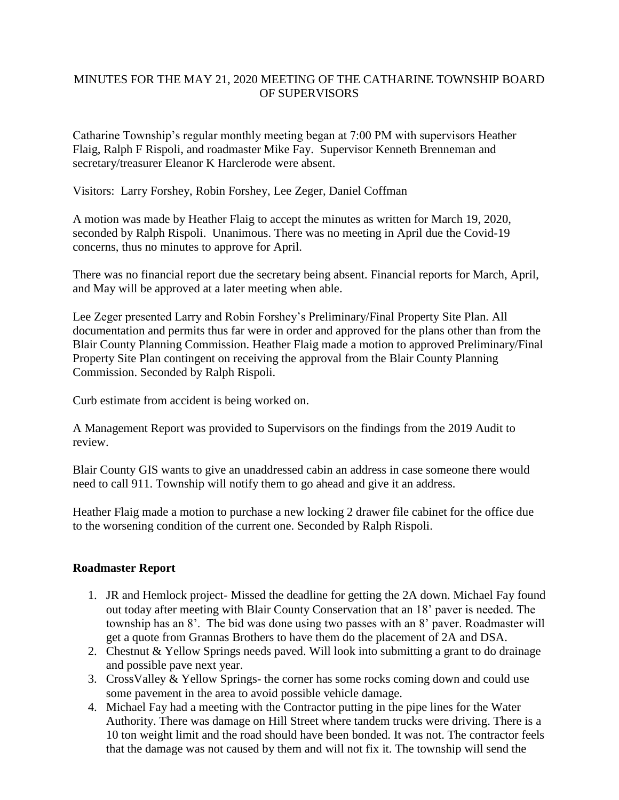## MINUTES FOR THE MAY 21, 2020 MEETING OF THE CATHARINE TOWNSHIP BOARD OF SUPERVISORS

Catharine Township's regular monthly meeting began at 7:00 PM with supervisors Heather Flaig, Ralph F Rispoli, and roadmaster Mike Fay. Supervisor Kenneth Brenneman and secretary/treasurer Eleanor K Harclerode were absent.

Visitors: Larry Forshey, Robin Forshey, Lee Zeger, Daniel Coffman

A motion was made by Heather Flaig to accept the minutes as written for March 19, 2020, seconded by Ralph Rispoli. Unanimous. There was no meeting in April due the Covid-19 concerns, thus no minutes to approve for April.

There was no financial report due the secretary being absent. Financial reports for March, April, and May will be approved at a later meeting when able.

Lee Zeger presented Larry and Robin Forshey's Preliminary/Final Property Site Plan. All documentation and permits thus far were in order and approved for the plans other than from the Blair County Planning Commission. Heather Flaig made a motion to approved Preliminary/Final Property Site Plan contingent on receiving the approval from the Blair County Planning Commission. Seconded by Ralph Rispoli.

Curb estimate from accident is being worked on.

A Management Report was provided to Supervisors on the findings from the 2019 Audit to review.

Blair County GIS wants to give an unaddressed cabin an address in case someone there would need to call 911. Township will notify them to go ahead and give it an address.

Heather Flaig made a motion to purchase a new locking 2 drawer file cabinet for the office due to the worsening condition of the current one. Seconded by Ralph Rispoli.

## **Roadmaster Report**

- 1. JR and Hemlock project- Missed the deadline for getting the 2A down. Michael Fay found out today after meeting with Blair County Conservation that an 18' paver is needed. The township has an 8'. The bid was done using two passes with an 8' paver. Roadmaster will get a quote from Grannas Brothers to have them do the placement of 2A and DSA.
- 2. Chestnut & Yellow Springs needs paved. Will look into submitting a grant to do drainage and possible pave next year.
- 3. CrossValley & Yellow Springs- the corner has some rocks coming down and could use some pavement in the area to avoid possible vehicle damage.
- 4. Michael Fay had a meeting with the Contractor putting in the pipe lines for the Water Authority. There was damage on Hill Street where tandem trucks were driving. There is a 10 ton weight limit and the road should have been bonded. It was not. The contractor feels that the damage was not caused by them and will not fix it. The township will send the